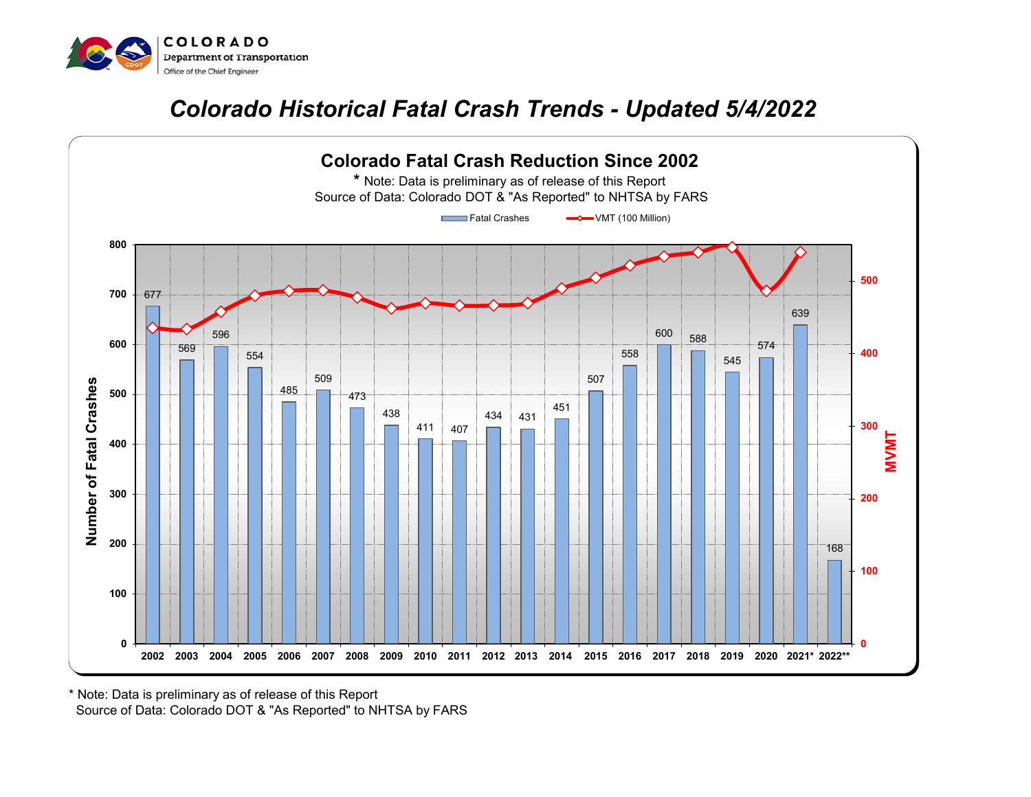

## *Colorado Historical Fatal Crash Trends - Updated 5/4/2022*



 Source of Data: Colorado DOT & "As Reported" to NHTSA by FARS \* Note: Data is preliminary as of release of this Report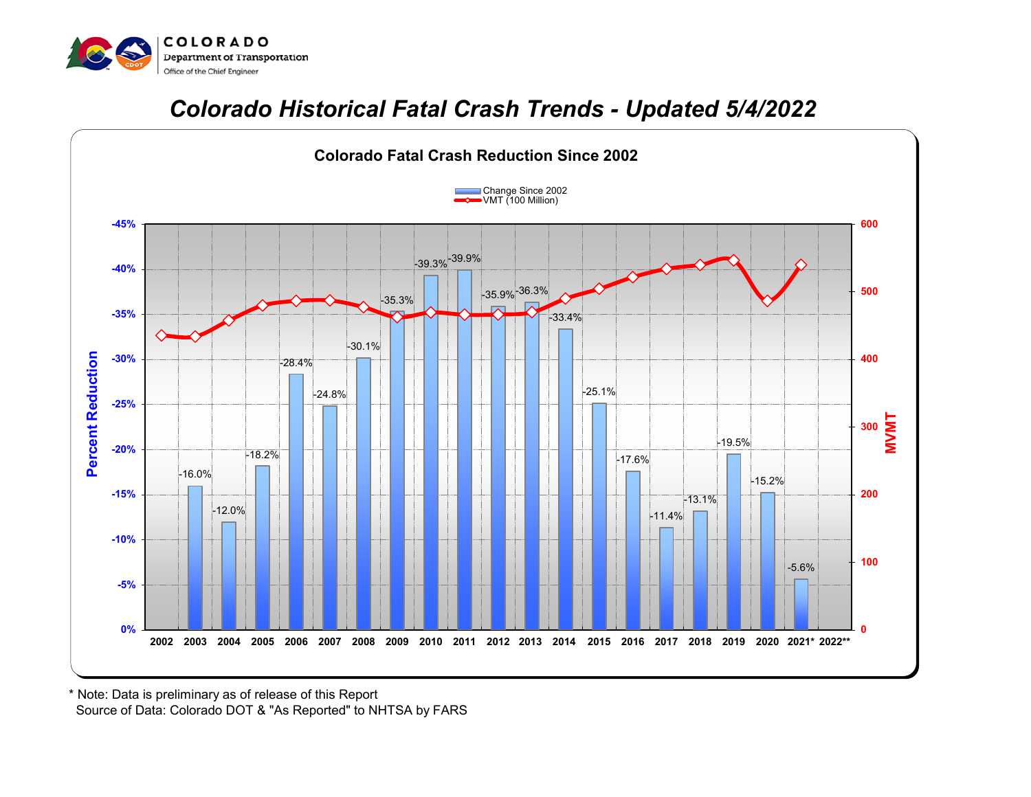

## *Colorado Historical Fatal Crash Trends - Updated 5/4/2022*



 Source of Data: Colorado DOT & "As Reported" to NHTSA by FARS \* Note: Data is preliminary as of release of this Report